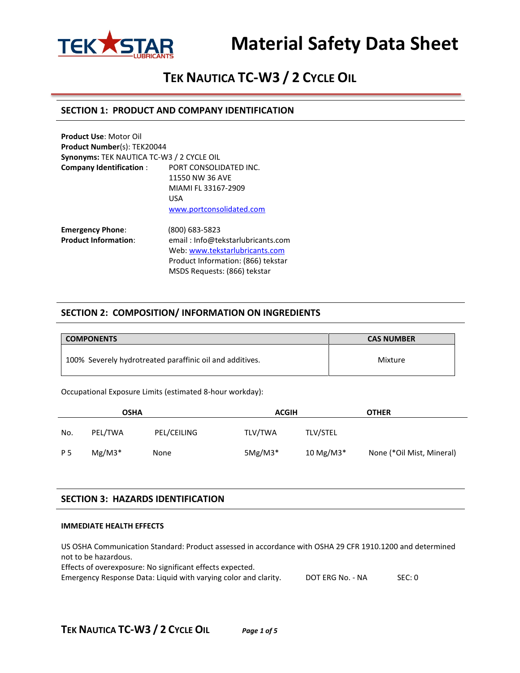

# **TEK NAUTICA TC-W3 / 2 CYCLE OIL**

### **SECTION 1: PRODUCT AND COMPANY IDENTIFICATION**

| <b>Product Use: Motor Oil</b><br><b>Product Number(s): TEK20044</b> |                                                                                                           |  |
|---------------------------------------------------------------------|-----------------------------------------------------------------------------------------------------------|--|
| Synonyms: TEK NAUTICA TC-W3 / 2 CYCLE OIL                           |                                                                                                           |  |
| <b>Company Identification:</b>                                      | PORT CONSOLIDATED INC.<br>11550 NW 36 AVE<br>MIAMI FL 33167-2909<br>USA                                   |  |
| <b>Emergency Phone:</b>                                             | www.portconsolidated.com<br>(800) 683-5823                                                                |  |
| <b>Product Information:</b>                                         | email: Info@tekstarlubricants.com<br>Web: www.tekstarlubricants.com<br>Product Information: (866) tekstar |  |

**SECTION 2: COMPOSITION/ INFORMATION ON INGREDIENTS**

MSDS Requests: (866) tekstar

| <b>COMPONENTS</b>                                        | <b>CAS NUMBER</b> |
|----------------------------------------------------------|-------------------|
| 100% Severely hydrotreated paraffinic oil and additives. | Mixture           |

Occupational Exposure Limits (estimated 8-hour workday):

| <b>OSHA</b> |          |             | <b>ACGIH</b> |                         | <b>OTHER</b>              |  |
|-------------|----------|-------------|--------------|-------------------------|---------------------------|--|
| No.         | PEL/TWA  | PEL/CEILING | TLV/TWA      | <b>TLV/STEL</b>         |                           |  |
| P 5         | $Mg/M3*$ | None        | $5Mg/M3*$    | $10$ Mg/M3 <sup>*</sup> | None (*Oil Mist, Mineral) |  |

#### **SECTION 3: HAZARDS IDENTIFICATION**

#### **IMMEDIATE HEALTH EFFECTS**

US OSHA Communication Standard: Product assessed in accordance with OSHA 29 CFR 1910.1200 and determined not to be hazardous. Effects of overexposure: No significant effects expected.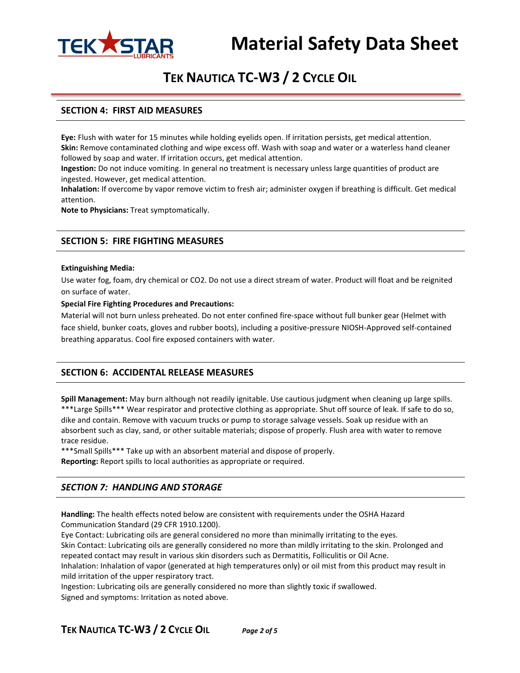

# **TEK NAUTICA TC-W3 / 2 CYCLE OIL**

### **SECTION 4: FIRST AID MEASURES**

**Eye:** Flush with water for 15 minutes while holding eyelids open. If irritation persists, get medical attention. **Skin:** Remove contaminated clothing and wipe excess off. Wash with soap and water or a waterless hand cleaner followed by soap and water. If irritation occurs, get medical attention.

**Ingestion:** Do not induce vomiting. In general no treatment is necessary unless large quantities of product are ingested. However, get medical attention.

**Inhalation:** If overcome by vapor remove victim to fresh air; administer oxygen if breathing is difficult. Get medical attention.

**Note to Physicians:** Treat symptomatically.

### **SECTION 5: FIRE FIGHTING MEASURES**

#### **Extinguishing Media:**

Use water fog, foam, dry chemical or CO2. Do not use a direct stream of water. Product will float and be reignited on surface of water.

#### **Special Fire Fighting Procedures and Precautions:**

Material will not burn unless preheated. Do not enter confined fire-space without full bunker gear (Helmet with face shield, bunker coats, gloves and rubber boots), including a positive-pressure NIOSH-Approved self-contained breathing apparatus. Cool fire exposed containers with water.

#### **SECTION 6: ACCIDENTAL RELEASE MEASURES**

**Spill Management:** May burn although not readily ignitable. Use cautious judgment when cleaning up large spills. \*\*\*Large Spills\*\*\* Wear respirator and protective clothing as appropriate. Shut off source of leak. If safe to do so, dike and contain. Remove with vacuum trucks or pump to storage salvage vessels. Soak up residue with an absorbent such as clay, sand, or other suitable materials; dispose of properly. Flush area with water to remove trace residue.

\*\*\*Small Spills\*\*\* Take up with an absorbent material and dispose of properly.

**Reporting:** Report spills to local authorities as appropriate or required.

## *SECTION 7: HANDLING AND STORAGE*

**Handling:** The health effects noted below are consistent with requirements under the OSHA Hazard Communication Standard (29 CFR 1910.1200).

Eye Contact: Lubricating oils are general considered no more than minimally irritating to the eyes. Skin Contact: Lubricating oils are generally considered no more than mildly irritating to the skin. Prolonged and repeated contact may result in various skin disorders such as Dermatitis, Folliculitis or Oil Acne. Inhalation: Inhalation of vapor (generated at high temperatures only) or oil mist from this product may result in mild irritation of the upper respiratory tract.

Ingestion: Lubricating oils are generally considered no more than slightly toxic if swallowed. Signed and symptoms: Irritation as noted above.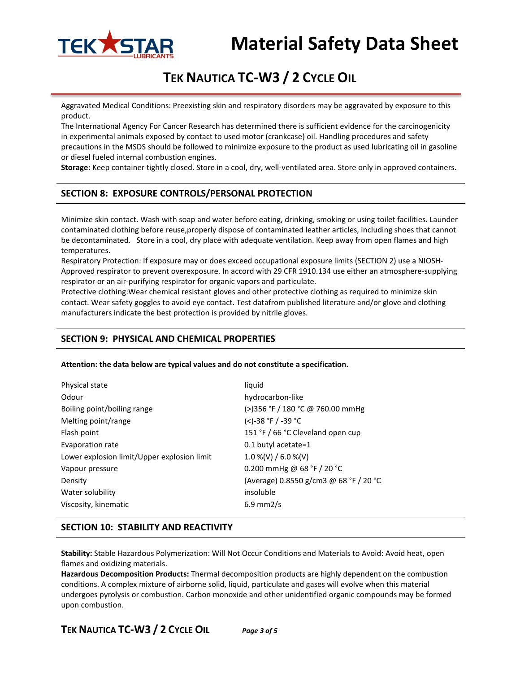

# **TEK NAUTICA TC-W3 / 2 CYCLE OIL**

Aggravated Medical Conditions: Preexisting skin and respiratory disorders may be aggravated by exposure to this product.

The International Agency For Cancer Research has determined there is sufficient evidence for the carcinogenicity in experimental animals exposed by contact to used motor (crankcase) oil. Handling procedures and safety precautions in the MSDS should be followed to minimize exposure to the product as used lubricating oil in gasoline or diesel fueled internal combustion engines.

**Storage:** Keep container tightly closed. Store in a cool, dry, well-ventilated area. Store only in approved containers.

# **SECTION 8: EXPOSURE CONTROLS/PERSONAL PROTECTION**

Minimize skin contact. Wash with soap and water before eating, drinking, smoking or using toilet facilities. Launder contaminated clothing before reuse,properly dispose of contaminated leather articles, including shoes that cannot be decontaminated. Store in a cool, dry place with adequate ventilation. Keep away from open flames and high temperatures.

Respiratory Protection: If exposure may or does exceed occupational exposure limits (SECTION 2) use a NIOSH-Approved respirator to prevent overexposure. In accord with 29 CFR 1910.134 use either an atmosphere-supplying respirator or an air-purifying respirator for organic vapors and particulate.

Protective clothing:Wear chemical resistant gloves and other protective clothing as required to minimize skin contact. Wear safety goggles to avoid eye contact. Test datafrom published literature and/or glove and clothing manufacturers indicate the best protection is provided by nitrile gloves.

# **SECTION 9: PHYSICAL AND CHEMICAL PROPERTIES**

**Attention: the data below are typical values and do not constitute a specification.**

| Physical state                              | liquid                                 |
|---------------------------------------------|----------------------------------------|
| Odour                                       | hydrocarbon-like                       |
| Boiling point/boiling range                 | (>)356 °F / 180 °C @ 760.00 mmHg       |
| Melting point/range                         | (<)-38 °F / -39 °C                     |
| Flash point                                 | 151 °F / 66 °C Cleveland open cup      |
| Evaporation rate                            | 0.1 butyl acetate= $1$                 |
| Lower explosion limit/Upper explosion limit | $1.0\%$ (V) / 6.0 %(V)                 |
| Vapour pressure                             | 0.200 mmHg @ 68 °F / 20 °C             |
| Density                                     | (Average) 0.8550 g/cm3 @ 68 °F / 20 °C |
| Water solubility                            | insoluble                              |
| Viscosity, kinematic                        | $6.9 \text{ mm2/s}$                    |

## **SECTION 10: STABILITY AND REACTIVITY**

**Stability:** Stable Hazardous Polymerization: Will Not Occur Conditions and Materials to Avoid: Avoid heat, open flames and oxidizing materials.

**Hazardous Decomposition Products:** Thermal decomposition products are highly dependent on the combustion conditions. A complex mixture of airborne solid, liquid, particulate and gases will evolve when this material undergoes pyrolysis or combustion. Carbon monoxide and other unidentified organic compounds may be formed upon combustion.

**TEK NAUTICA TC-W3 / 2 CYCLE OIL** *Page 3 of 5*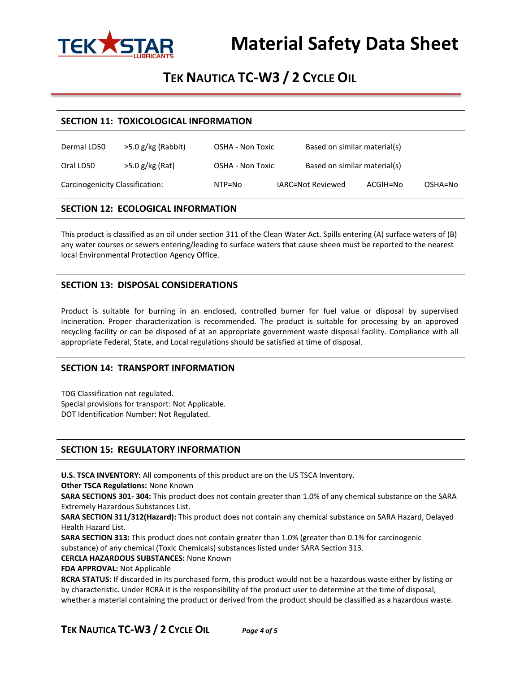

# **TEK NAUTICA TC-W3 / 2 CYCLE OIL**

#### **SECTION 11: TOXICOLOGICAL INFORMATION**

| Dermal LD50                     | $>5.0$ g/kg (Rabbit) | OSHA - Non Toxic | Based on similar material(s) |          |         |
|---------------------------------|----------------------|------------------|------------------------------|----------|---------|
| Oral LD50                       | $>5.0$ g/kg (Rat)    | OSHA - Non Toxic | Based on similar material(s) |          |         |
| Carcinogenicity Classification: |                      | NTP=No           | IARC=Not Reviewed            | ACGIH=No | OSHA=No |

## **SECTION 12: ECOLOGICAL INFORMATION**

This product is classified as an oil under section 311 of the Clean Water Act. Spills entering (A) surface waters of (B) any water courses or sewers entering/leading to surface waters that cause sheen must be reported to the nearest local Environmental Protection Agency Office.

# **SECTION 13: DISPOSAL CONSIDERATIONS**

Product is suitable for burning in an enclosed, controlled burner for fuel value or disposal by supervised incineration. Proper characterization is recommended. The product is suitable for processing by an approved recycling facility or can be disposed of at an appropriate government waste disposal facility. Compliance with all appropriate Federal, State, and Local regulations should be satisfied at time of disposal.

## **SECTION 14: TRANSPORT INFORMATION**

TDG Classification not regulated. Special provisions for transport: Not Applicable. DOT Identification Number: Not Regulated.

## **SECTION 15: REGULATORY INFORMATION**

**U.S. TSCA INVENTORY:** All components of this product are on the US TSCA Inventory.

**Other TSCA Regulations:** None Known

**SARA SECTIONS 301- 304:** This product does not contain greater than 1.0% of any chemical substance on the SARA Extremely Hazardous Substances List.

**SARA SECTION 311/312(Hazard):** This product does not contain any chemical substance on SARA Hazard, Delayed Health Hazard List.

**SARA SECTION 313:** This product does not contain greater than 1.0% (greater than 0.1% for carcinogenic substance) of any chemical (Toxic Chemicals) substances listed under SARA Section 313.

**CERCLA HAZARDOUS SUBSTANCES:** None Known

**FDA APPROVAL:** Not Applicable

**RCRA STATUS:** If discarded in its purchased form, this product would not be a hazardous waste either by listing or by characteristic. Under RCRA it is the responsibility of the product user to determine at the time of disposal, whether a material containing the product or derived from the product should be classified as a hazardous waste.

**TEK NAUTICA TC-W3 / 2 CYCLE OIL** *Page 4 of 5*